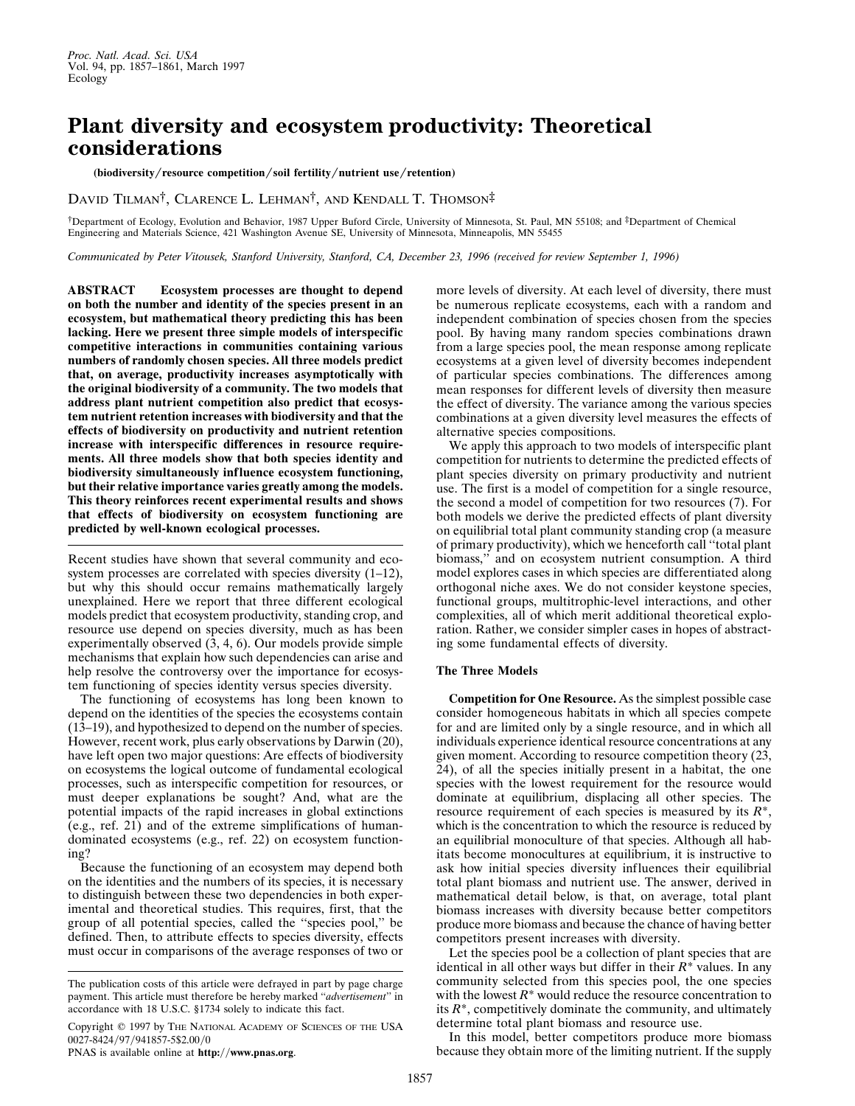## **Plant diversity and ecosystem productivity: Theoretical considerations**

(biodiversity/resource competition/soil fertility/nutrient use/retention)

DAVID TILMAN†, CLARENCE L. LEHMAN†, AND KENDALL T. THOMSON‡

†Department of Ecology, Evolution and Behavior, 1987 Upper Buford Circle, University of Minnesota, St. Paul, MN 55108; and ‡Department of Chemical Engineering and Materials Science, 421 Washington Avenue SE, University of Minnesota, Minneapolis, MN 55455

*Communicated by Peter Vitousek, Stanford University, Stanford, CA, December 23, 1996 (received for review September 1, 1996)*

**ABSTRACT Ecosystem processes are thought to depend on both the number and identity of the species present in an ecosystem, but mathematical theory predicting this has been lacking. Here we present three simple models of interspecific competitive interactions in communities containing various numbers of randomly chosen species. All three models predict that, on average, productivity increases asymptotically with the original biodiversity of a community. The two models that address plant nutrient competition also predict that ecosystem nutrient retention increases with biodiversity and that the effects of biodiversity on productivity and nutrient retention increase with interspecific differences in resource requirements. All three models show that both species identity and biodiversity simultaneously influence ecosystem functioning, but their relative importance varies greatly among the models. This theory reinforces recent experimental results and shows that effects of biodiversity on ecosystem functioning are predicted by well-known ecological processes.**

Recent studies have shown that several community and ecosystem processes are correlated with species diversity (1–12), but why this should occur remains mathematically largely unexplained. Here we report that three different ecological models predict that ecosystem productivity, standing crop, and resource use depend on species diversity, much as has been experimentally observed (3, 4, 6). Our models provide simple mechanisms that explain how such dependencies can arise and help resolve the controversy over the importance for ecosystem functioning of species identity versus species diversity.

The functioning of ecosystems has long been known to depend on the identities of the species the ecosystems contain (13–19), and hypothesized to depend on the number of species. However, recent work, plus early observations by Darwin (20), have left open two major questions: Are effects of biodiversity on ecosystems the logical outcome of fundamental ecological processes, such as interspecific competition for resources, or must deeper explanations be sought? And, what are the potential impacts of the rapid increases in global extinctions (e.g., ref. 21) and of the extreme simplifications of humandominated ecosystems (e.g., ref. 22) on ecosystem functioning?

Because the functioning of an ecosystem may depend both on the identities and the numbers of its species, it is necessary to distinguish between these two dependencies in both experimental and theoretical studies. This requires, first, that the group of all potential species, called the ''species pool,'' be defined. Then, to attribute effects to species diversity, effects must occur in comparisons of the average responses of two or

Copyright  $@$  1997 by The NATIONAL ACADEMY OF SCIENCES OF THE USA 0027-8424/97/941857-5\$2.00/0

PNAS is available online at **http://www.pnas.org**.

more levels of diversity. At each level of diversity, there must be numerous replicate ecosystems, each with a random and independent combination of species chosen from the species pool. By having many random species combinations drawn from a large species pool, the mean response among replicate ecosystems at a given level of diversity becomes independent of particular species combinations. The differences among mean responses for different levels of diversity then measure the effect of diversity. The variance among the various species combinations at a given diversity level measures the effects of alternative species compositions.

We apply this approach to two models of interspecific plant competition for nutrients to determine the predicted effects of plant species diversity on primary productivity and nutrient use. The first is a model of competition for a single resource, the second a model of competition for two resources (7). For both models we derive the predicted effects of plant diversity on equilibrial total plant community standing crop (a measure of primary productivity), which we henceforth call ''total plant biomass,'' and on ecosystem nutrient consumption. A third model explores cases in which species are differentiated along orthogonal niche axes. We do not consider keystone species, functional groups, multitrophic-level interactions, and other complexities, all of which merit additional theoretical exploration. Rather, we consider simpler cases in hopes of abstracting some fundamental effects of diversity.

## **The Three Models**

**Competition for One Resource.** As the simplest possible case consider homogeneous habitats in which all species compete for and are limited only by a single resource, and in which all individuals experience identical resource concentrations at any given moment. According to resource competition theory (23, 24), of all the species initially present in a habitat, the one species with the lowest requirement for the resource would dominate at equilibrium, displacing all other species. The resource requirement of each species is measured by its *R*\*, which is the concentration to which the resource is reduced by an equilibrial monoculture of that species. Although all habitats become monocultures at equilibrium, it is instructive to ask how initial species diversity influences their equilibrial total plant biomass and nutrient use. The answer, derived in mathematical detail below, is that, on average, total plant biomass increases with diversity because better competitors produce more biomass and because the chance of having better competitors present increases with diversity.

Let the species pool be a collection of plant species that are identical in all other ways but differ in their *R*\* values. In any community selected from this species pool, the one species with the lowest  $R^*$  would reduce the resource concentration to its  $R^*$ , competitively dominate the community, and ultimately determine total plant biomass and resource use.

In this model, better competitors produce more biomass because they obtain more of the limiting nutrient. If the supply

The publication costs of this article were defrayed in part by page charge payment. This article must therefore be hereby marked ''*advertisement*'' in accordance with 18 U.S.C. §1734 solely to indicate this fact.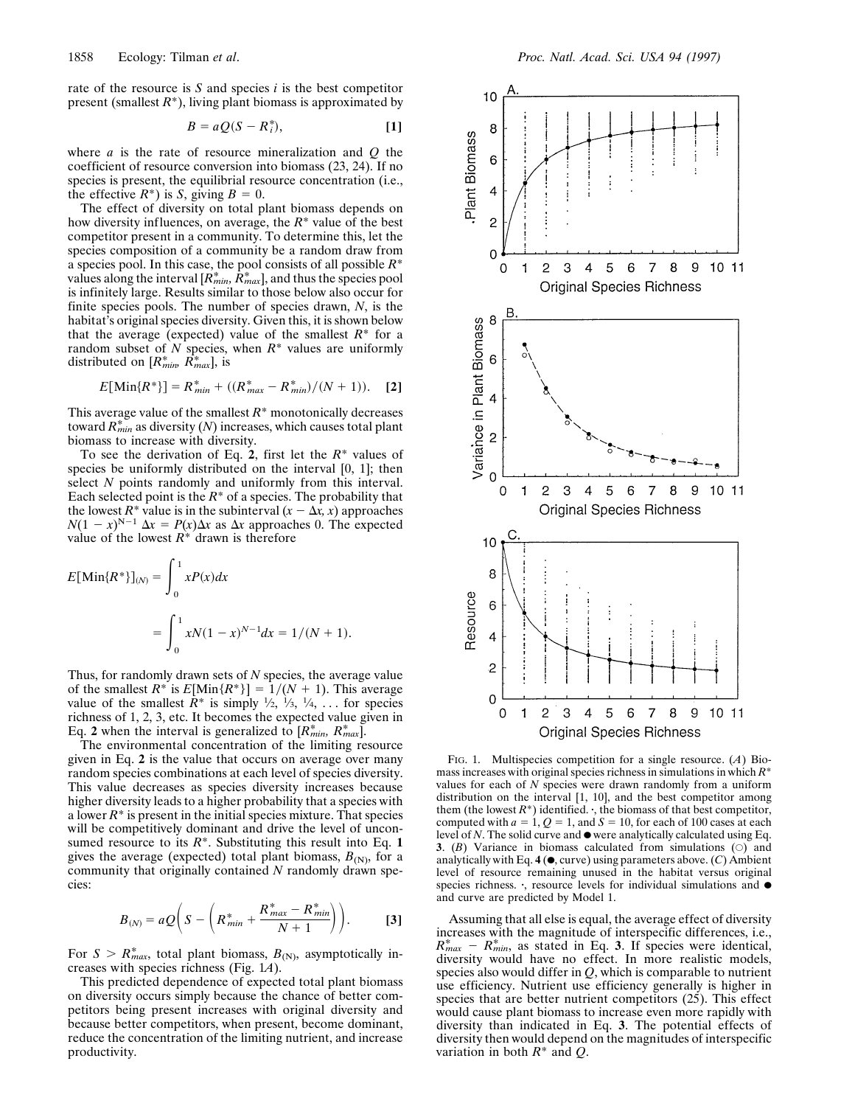rate of the resource is *S* and species *i* is the best competitor present (smallest  $R^*$ ), living plant biomass is approximated by

$$
B = aQ(S - R_i^*), \tag{1}
$$

where *a* is the rate of resource mineralization and *Q* the coefficient of resource conversion into biomass (23, 24). If no species is present, the equilibrial resource concentration (i.e., the effective  $R^*$ ) is *S*, giving  $B = 0$ .

The effect of diversity on total plant biomass depends on how diversity influences, on average, the *R*\* value of the best competitor present in a community. To determine this, let the species composition of a community be a random draw from a species pool. In this case, the pool consists of all possible *R*\* values along the interval  $[R^{*}_{min}, R^{*}_{max}]$ , and thus the species pool is infinitely large. Results similar to those below also occur for finite species pools. The number of species drawn, *N*, is the habitat's original species diversity. Given this, it is shown below that the average (expected) value of the smallest  $R^*$  for a random subset of *N* species, when *R*\* values are uniformly distributed on  $[R^*_{min}, R^*_{max}]$ , is

$$
E[\text{Min}\{R^*\}] = R^*_{min} + ((R^*_{max} - R^*_{min})/(N+1)).
$$
 [2]

This average value of the smallest  $R^*$  monotonically decreases toward *R*\* *min* as diversity (*N*) increases, which causes total plant biomass to increase with diversity.

To see the derivation of Eq. **2**, first let the *R*\* values of species be uniformly distributed on the interval [0, 1]; then select *N* points randomly and uniformly from this interval. Each selected point is the  $R^*$  of a species. The probability that the lowest  $R^*$  value is in the subinterval  $(x - \Delta x, x)$  approaches  $N(1 - x)^{N-1} \Delta x = P(x) \Delta x$  as  $\Delta x$  approaches 0. The expected value of the lowest  $R^*$  drawn is therefore

$$
E[\text{Min}\{R^*\}]_{(N)} = \int_0^1 xP(x)dx
$$
  
= 
$$
\int_0^1 xN(1-x)^{N-1}dx = 1/(N+1).
$$

Thus, for randomly drawn sets of *N* species, the average value of the smallest  $R^*$  is  $E[\text{Min}\{R^*\}] = \frac{1}{N+1}$ . This average value of the smallest  $R^*$  is simply  $\frac{1}{2}$ ,  $\frac{1}{3}$ ,  $\frac{1}{4}$ , ... for species richness of 1, 2, 3, etc. It becomes the expected value given in Eq. 2 when the interval is generalized to  $[R^{*}_{min}, R^{*}_{max}]$ .

The environmental concentration of the limiting resource given in Eq. **2** is the value that occurs on average over many random species combinations at each level of species diversity. This value decreases as species diversity increases because higher diversity leads to a higher probability that a species with a lower  $R^*$  is present in the initial species mixture. That species will be competitively dominant and drive the level of unconsumed resource to its  $R^*$ . Substituting this result into Eq. 1 gives the average (expected) total plant biomass,  $B_{(N)}$ , for a community that originally contained *N* randomly drawn species:

$$
B_{(N)} = aQ\bigg(S - \bigg(R_{min}^* + \frac{R_{max}^* - R_{min}^*}{N+1}\bigg)\bigg).
$$
 [3]

For  $S > R^*_{max}$ , total plant biomass,  $B_{(N)}$ , asymptotically increases with species richness (Fig. 1*A*).

This predicted dependence of expected total plant biomass on diversity occurs simply because the chance of better competitors being present increases with original diversity and because better competitors, when present, become dominant, reduce the concentration of the limiting nutrient, and increase productivity.



FIG. 1. Multispecies competition for a single resource. (*A*) Biomass increases with original species richness in simulations in which *R*\* values for each of *N* species were drawn randomly from a uniform distribution on the interval [1, 10], and the best competitor among them (the lowest  $R^*$ ) identified.  $\cdot$ , the biomass of that best competitor, computed with  $a = 1$ ,  $Q = 1$ , and  $S = 10$ , for each of 100 cases at each level of  $N$ . The solid curve and  $\bullet$  were analytically calculated using Eq. **3.** (*B*) Variance in biomass calculated from simulations ( $\circ$ ) and analytically with Eq.  $4$  ( $\bullet$ , curve) using parameters above. (*C*) Ambient level of resource remaining unused in the habitat versus original species richness.  $\cdot$ , resource levels for individual simulations and  $\bullet$ and curve are predicted by Model 1.

Assuming that all else is equal, the average effect of diversity increases with the magnitude of interspecific differences, i.e.,  $R_{max}^* - R_{min}^*$ , as stated in Eq. 3. If species were identical, diversity would have no effect. In more realistic models, species also would differ in *Q*, which is comparable to nutrient use efficiency. Nutrient use efficiency generally is higher in species that are better nutrient competitors (25). This effect would cause plant biomass to increase even more rapidly with diversity than indicated in Eq. **3**. The potential effects of diversity then would depend on the magnitudes of interspecific variation in both *R*\* and *Q*.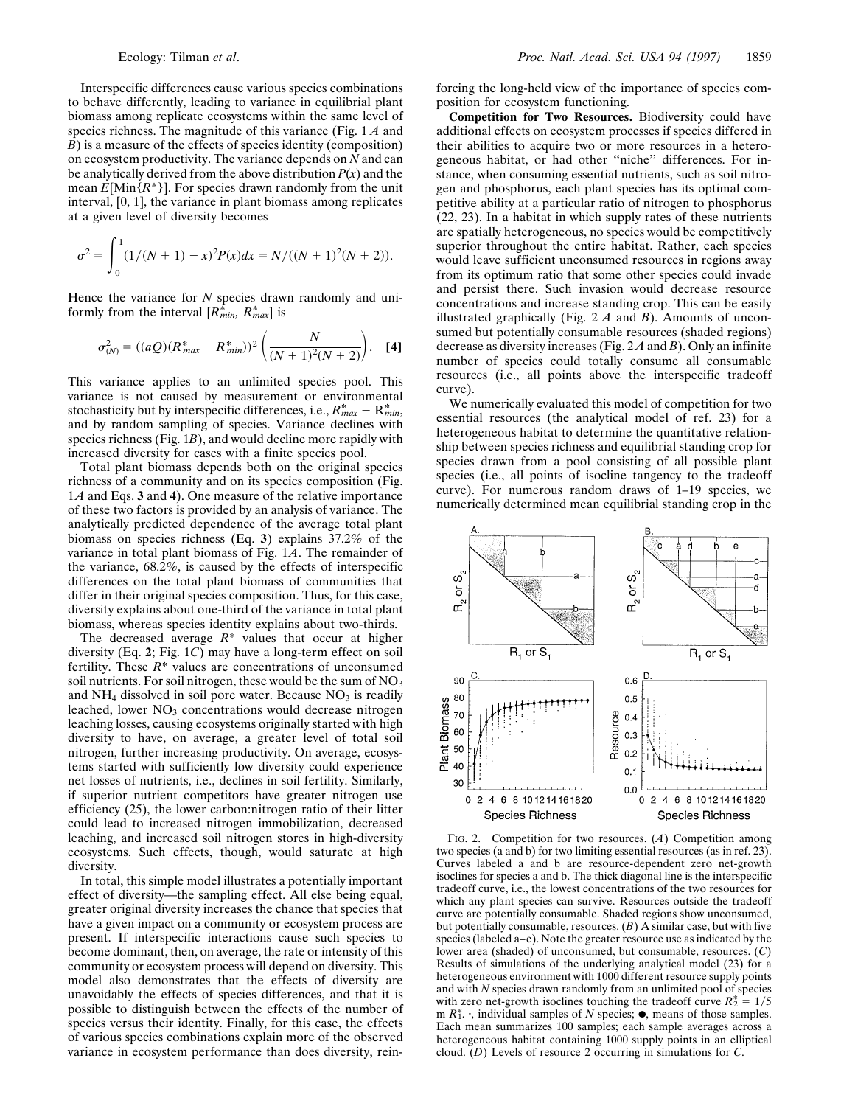Interspecific differences cause various species combinations to behave differently, leading to variance in equilibrial plant biomass among replicate ecosystems within the same level of species richness. The magnitude of this variance (Fig. 1 *A* and *B*) is a measure of the effects of species identity (composition) on ecosystem productivity. The variance depends on *N* and can be analytically derived from the above distribution *P*(*x*) and the mean  $E[\text{Min}\lbrace R^* \rbrace]$ . For species drawn randomly from the unit interval, [0, 1], the variance in plant biomass among replicates at a given level of diversity becomes

$$
\sigma^2 = \int_0^1 (1/(N+1) - x)^2 P(x) dx = N/((N+1)^2(N+2)).
$$

Hence the variance for *N* species drawn randomly and uniformly from the interval  $[R<sup>*</sup><sub>min</sub>, R<sup>*</sup><sub>max</sub>]$  is

$$
\sigma_{(N)}^2 = ((aQ)(R_{max}^* - R_{min}^*))^2 \left(\frac{N}{(N+1)^2(N+2)}\right). \quad [4]
$$

This variance applies to an unlimited species pool. This variance is not caused by measurement or environmental stochasticity but by interspecific differences, i.e.,  $R^*_{max} - R^*_{min}$ , and by random sampling of species. Variance declines with species richness (Fig. 1*B*), and would decline more rapidly with increased diversity for cases with a finite species pool.

Total plant biomass depends both on the original species richness of a community and on its species composition (Fig. 1*A* and Eqs. **3** and **4**). One measure of the relative importance of these two factors is provided by an analysis of variance. The analytically predicted dependence of the average total plant biomass on species richness (Eq. **3**) explains 37.2% of the variance in total plant biomass of Fig. 1*A*. The remainder of the variance, 68.2%, is caused by the effects of interspecific differences on the total plant biomass of communities that differ in their original species composition. Thus, for this case, diversity explains about one-third of the variance in total plant biomass, whereas species identity explains about two-thirds.

The decreased average *R*\* values that occur at higher diversity (Eq. **2**; Fig. 1*C*) may have a long-term effect on soil fertility. These *R*\* values are concentrations of unconsumed soil nutrients. For soil nitrogen, these would be the sum of  $NO<sub>3</sub>$ and  $NH_4$  dissolved in soil pore water. Because  $NO_3$  is readily leached, lower  $NO<sub>3</sub>$  concentrations would decrease nitrogen leaching losses, causing ecosystems originally started with high diversity to have, on average, a greater level of total soil nitrogen, further increasing productivity. On average, ecosystems started with sufficiently low diversity could experience net losses of nutrients, i.e., declines in soil fertility. Similarly, if superior nutrient competitors have greater nitrogen use efficiency (25), the lower carbon:nitrogen ratio of their litter could lead to increased nitrogen immobilization, decreased leaching, and increased soil nitrogen stores in high-diversity ecosystems. Such effects, though, would saturate at high diversity.

In total, this simple model illustrates a potentially important effect of diversity—the sampling effect. All else being equal, greater original diversity increases the chance that species that have a given impact on a community or ecosystem process are present. If interspecific interactions cause such species to become dominant, then, on average, the rate or intensity of this community or ecosystem process will depend on diversity. This model also demonstrates that the effects of diversity are unavoidably the effects of species differences, and that it is possible to distinguish between the effects of the number of species versus their identity. Finally, for this case, the effects of various species combinations explain more of the observed variance in ecosystem performance than does diversity, reinforcing the long-held view of the importance of species composition for ecosystem functioning.

**Competition for Two Resources.** Biodiversity could have additional effects on ecosystem processes if species differed in their abilities to acquire two or more resources in a heterogeneous habitat, or had other ''niche'' differences. For instance, when consuming essential nutrients, such as soil nitrogen and phosphorus, each plant species has its optimal competitive ability at a particular ratio of nitrogen to phosphorus (22, 23). In a habitat in which supply rates of these nutrients are spatially heterogeneous, no species would be competitively superior throughout the entire habitat. Rather, each species would leave sufficient unconsumed resources in regions away from its optimum ratio that some other species could invade and persist there. Such invasion would decrease resource concentrations and increase standing crop. This can be easily illustrated graphically (Fig. 2 *A* and *B*). Amounts of unconsumed but potentially consumable resources (shaded regions) decrease as diversity increases (Fig. 2 *A* and *B*). Only an infinite number of species could totally consume all consumable resources (i.e., all points above the interspecific tradeoff curve).

We numerically evaluated this model of competition for two essential resources (the analytical model of ref. 23) for a heterogeneous habitat to determine the quantitative relationship between species richness and equilibrial standing crop for species drawn from a pool consisting of all possible plant species (i.e., all points of isocline tangency to the tradeoff curve). For numerous random draws of 1–19 species, we numerically determined mean equilibrial standing crop in the



FIG. 2. Competition for two resources. (*A*) Competition among two species (a and b) for two limiting essential resources (as in ref. 23). Curves labeled a and b are resource-dependent zero net-growth isoclines for species a and b. The thick diagonal line is the interspecific tradeoff curve, i.e., the lowest concentrations of the two resources for which any plant species can survive. Resources outside the tradeoff curve are potentially consumable. Shaded regions show unconsumed, but potentially consumable, resources. (*B*) A similar case, but with five species (labeled a–e). Note the greater resource use as indicated by the lower area (shaded) of unconsumed, but consumable, resources. (*C*) Results of simulations of the underlying analytical model (23) for a heterogeneous environment with 1000 different resource supply points and with *N* species drawn randomly from an unlimited pool of species with zero net-growth isoclines touching the tradeoff curve  $R_2^* = 1/5$ m  $R_1^*$ : individual samples of *N* species;  $\bullet$ , means of those samples. Each mean summarizes 100 samples; each sample averages across a heterogeneous habitat containing 1000 supply points in an elliptical cloud. (*D*) Levels of resource 2 occurring in simulations for *C*.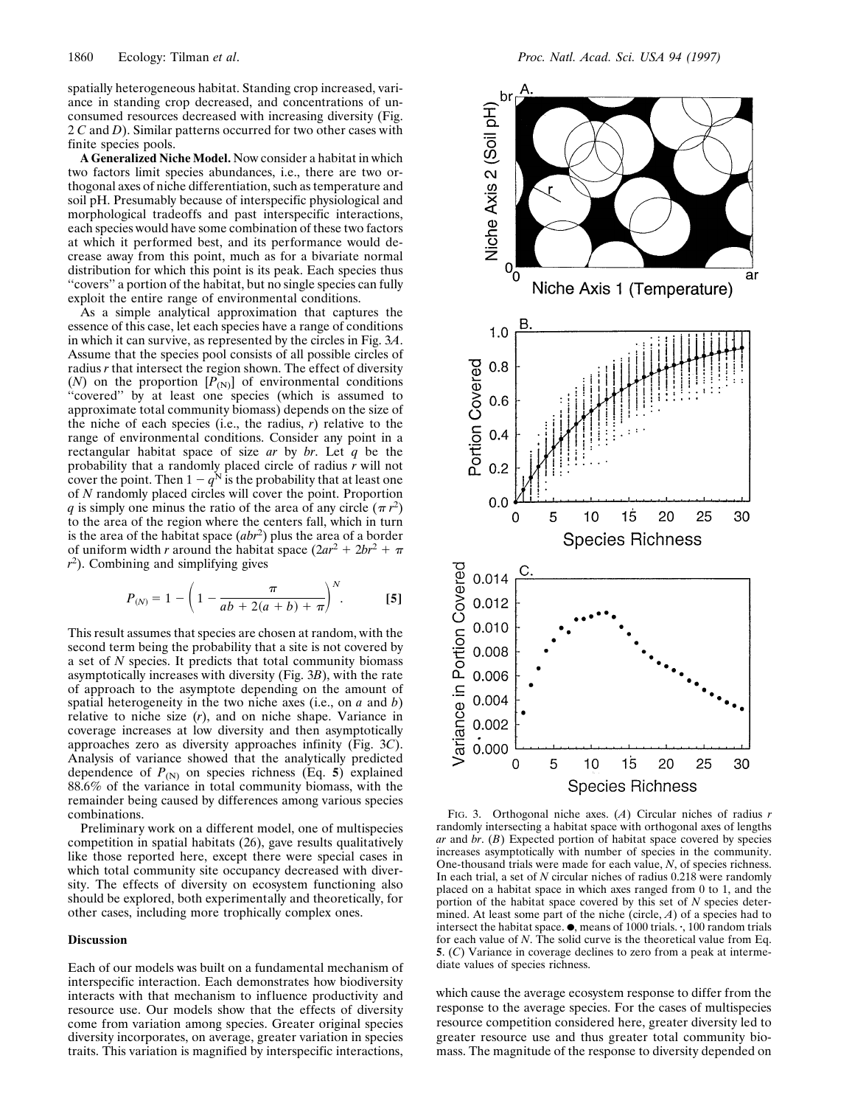spatially heterogeneous habitat. Standing crop increased, variance in standing crop decreased, and concentrations of unconsumed resources decreased with increasing diversity (Fig. 2 *C* and *D*). Similar patterns occurred for two other cases with finite species pools.

**A Generalized Niche Model.** Now consider a habitat in which two factors limit species abundances, i.e., there are two orthogonal axes of niche differentiation, such as temperature and soil pH. Presumably because of interspecific physiological and morphological tradeoffs and past interspecific interactions, each species would have some combination of these two factors at which it performed best, and its performance would decrease away from this point, much as for a bivariate normal distribution for which this point is its peak. Each species thus ''covers'' a portion of the habitat, but no single species can fully exploit the entire range of environmental conditions.

As a simple analytical approximation that captures the essence of this case, let each species have a range of conditions in which it can survive, as represented by the circles in Fig. 3*A*. Assume that the species pool consists of all possible circles of radius *r* that intersect the region shown. The effect of diversity  $(N)$  on the proportion  $[P_{(N)}]$  of environmental conditions "covered" by at least one species (which is assumed to approximate total community biomass) depends on the size of the niche of each species (i.e., the radius, *r*) relative to the range of environmental conditions. Consider any point in a rectangular habitat space of size *ar* by *br*. Let *q* be the probability that a randomly placed circle of radius *r* will not cover the point. Then  $1 - q^N$  is the probability that at least one of *N* randomly placed circles will cover the point. Proportion *q* is simply one minus the ratio of the area of any circle  $(\pi r^2)$ to the area of the region where the centers fall, which in turn is the area of the habitat space (*abr*2) plus the area of a border of uniform width *r* around the habitat space  $(2ar^2 + 2br^2 + \pi)$ *r*2). Combining and simplifying gives

$$
P_{(N)} = 1 - \left(1 - \frac{\pi}{ab + 2(a + b) + \pi}\right)^{N}.
$$
 [5]

This result assumes that species are chosen at random, with the second term being the probability that a site is not covered by a set of *N* species. It predicts that total community biomass asymptotically increases with diversity (Fig. 3*B*), with the rate of approach to the asymptote depending on the amount of spatial heterogeneity in the two niche axes (i.e., on *a* and *b*) relative to niche size (*r*), and on niche shape. Variance in coverage increases at low diversity and then asymptotically approaches zero as diversity approaches infinity (Fig. 3*C*). Analysis of variance showed that the analytically predicted dependence of  $P_{(N)}$  on species richness (Eq. 5) explained 88.6% of the variance in total community biomass, with the remainder being caused by differences among various species combinations.

Preliminary work on a different model, one of multispecies competition in spatial habitats (26), gave results qualitatively like those reported here, except there were special cases in which total community site occupancy decreased with diversity. The effects of diversity on ecosystem functioning also should be explored, both experimentally and theoretically, for other cases, including more trophically complex ones.

## **Discussion**

Each of our models was built on a fundamental mechanism of interspecific interaction. Each demonstrates how biodiversity interacts with that mechanism to influence productivity and resource use. Our models show that the effects of diversity come from variation among species. Greater original species diversity incorporates, on average, greater variation in species traits. This variation is magnified by interspecific interactions,



FIG. 3. Orthogonal niche axes. (*A*) Circular niches of radius *r* randomly intersecting a habitat space with orthogonal axes of lengths *ar* and *br*. (*B*) Expected portion of habitat space covered by species increases asymptotically with number of species in the community. One-thousand trials were made for each value, *N*, of species richness. In each trial, a set of *N* circular niches of radius 0.218 were randomly placed on a habitat space in which axes ranged from 0 to 1, and the portion of the habitat space covered by this set of *N* species determined. At least some part of the niche (circle, *A*) of a species had to intersect the habitat space.  $\bullet$ , means of 1000 trials.  $\cdot$ , 100 random trials for each value of *N*. The solid curve is the theoretical value from Eq. **5**. (*C*) Variance in coverage declines to zero from a peak at intermediate values of species richness.

which cause the average ecosystem response to differ from the response to the average species. For the cases of multispecies resource competition considered here, greater diversity led to greater resource use and thus greater total community biomass. The magnitude of the response to diversity depended on